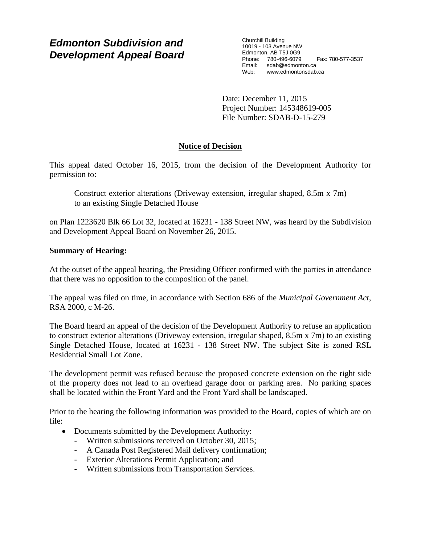# *Edmonton Subdivision and Development Appeal Board*

Churchill Building 10019 - 103 Avenue NW Edmonton, AB T5J 0G9 Phone: 780-496-6079 Fax: 780-577-3537 Email: sdab@edmonton.ca Web: www.edmontonsdab.ca

Date: December 11, 2015 Project Number: 145348619-005 File Number: SDAB-D-15-279

# **Notice of Decision**

This appeal dated October 16, 2015, from the decision of the Development Authority for permission to:

Construct exterior alterations (Driveway extension, irregular shaped, 8.5m x 7m) to an existing Single Detached House

on Plan 1223620 Blk 66 Lot 32, located at 16231 - 138 Street NW, was heard by the Subdivision and Development Appeal Board on November 26, 2015.

### **Summary of Hearing:**

At the outset of the appeal hearing, the Presiding Officer confirmed with the parties in attendance that there was no opposition to the composition of the panel.

The appeal was filed on time, in accordance with Section 686 of the *Municipal Government Act*, RSA 2000, c M-26.

The Board heard an appeal of the decision of the Development Authority to refuse an application to construct exterior alterations (Driveway extension, irregular shaped, 8.5m x 7m) to an existing Single Detached House, located at 16231 - 138 Street NW. The subject Site is zoned RSL Residential Small Lot Zone.

The development permit was refused because the proposed concrete extension on the right side of the property does not lead to an overhead garage door or parking area. No parking spaces shall be located within the Front Yard and the Front Yard shall be landscaped.

Prior to the hearing the following information was provided to the Board, copies of which are on file:

- Documents submitted by the Development Authority:
	- Written submissions received on October 30, 2015;
	- A Canada Post Registered Mail delivery confirmation;
	- Exterior Alterations Permit Application; and
	- Written submissions from Transportation Services.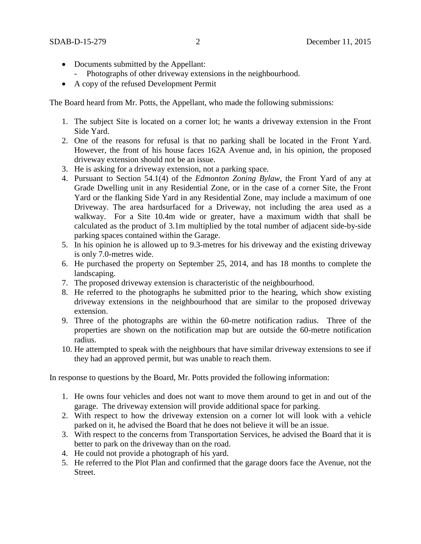- Documents submitted by the Appellant:
	- Photographs of other driveway extensions in the neighbourhood.
- A copy of the refused Development Permit

The Board heard from Mr. Potts, the Appellant, who made the following submissions:

- 1. The subject Site is located on a corner lot; he wants a driveway extension in the Front Side Yard.
- 2. One of the reasons for refusal is that no parking shall be located in the Front Yard. However, the front of his house faces 162A Avenue and, in his opinion, the proposed driveway extension should not be an issue.
- 3. He is asking for a driveway extension, not a parking space.
- 4. Pursuant to Section 54.1(4) of the *Edmonton Zoning Bylaw*, the Front Yard of any at Grade Dwelling unit in any Residential Zone, or in the case of a corner Site, the Front Yard or the flanking Side Yard in any Residential Zone, may include a maximum of one Driveway. The area hardsurfaced for a Driveway, not including the area used as a walkway. For a Site 10.4m wide or greater, have a maximum width that shall be calculated as the product of 3.1m multiplied by the total number of adjacent side-by-side parking spaces contained within the Garage.
- 5. In his opinion he is allowed up to 9.3-metres for his driveway and the existing driveway is only 7.0-metres wide.
- 6. He purchased the property on September 25, 2014, and has 18 months to complete the landscaping.
- 7. The proposed driveway extension is characteristic of the neighbourhood.
- 8. He referred to the photographs he submitted prior to the hearing, which show existing driveway extensions in the neighbourhood that are similar to the proposed driveway extension.
- 9. Three of the photographs are within the 60-metre notification radius. Three of the properties are shown on the notification map but are outside the 60-metre notification radius.
- 10. He attempted to speak with the neighbours that have similar driveway extensions to see if they had an approved permit, but was unable to reach them.

In response to questions by the Board, Mr. Potts provided the following information:

- 1. He owns four vehicles and does not want to move them around to get in and out of the garage. The driveway extension will provide additional space for parking.
- 2. With respect to how the driveway extension on a corner lot will look with a vehicle parked on it, he advised the Board that he does not believe it will be an issue.
- 3. With respect to the concerns from Transportation Services, he advised the Board that it is better to park on the driveway than on the road.
- 4. He could not provide a photograph of his yard.
- 5. He referred to the Plot Plan and confirmed that the garage doors face the Avenue, not the Street.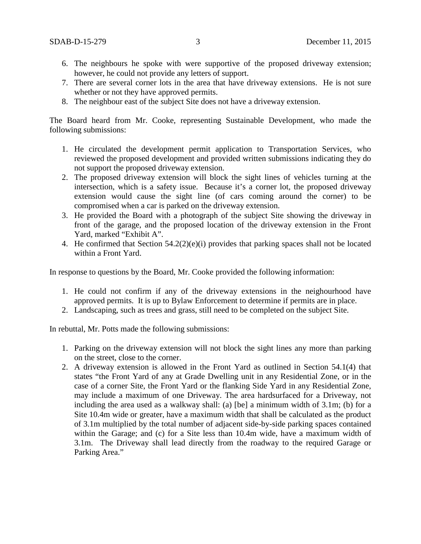- 6. The neighbours he spoke with were supportive of the proposed driveway extension; however, he could not provide any letters of support.
- 7. There are several corner lots in the area that have driveway extensions. He is not sure whether or not they have approved permits.
- 8. The neighbour east of the subject Site does not have a driveway extension.

The Board heard from Mr. Cooke, representing Sustainable Development, who made the following submissions:

- 1. He circulated the development permit application to Transportation Services, who reviewed the proposed development and provided written submissions indicating they do not support the proposed driveway extension.
- 2. The proposed driveway extension will block the sight lines of vehicles turning at the intersection, which is a safety issue. Because it's a corner lot, the proposed driveway extension would cause the sight line (of cars coming around the corner) to be compromised when a car is parked on the driveway extension.
- 3. He provided the Board with a photograph of the subject Site showing the driveway in front of the garage, and the proposed location of the driveway extension in the Front Yard, marked "Exhibit A".
- 4. He confirmed that Section 54.2(2)(e)(i) provides that parking spaces shall not be located within a Front Yard.

In response to questions by the Board, Mr. Cooke provided the following information:

- 1. He could not confirm if any of the driveway extensions in the neighourhood have approved permits. It is up to Bylaw Enforcement to determine if permits are in place.
- 2. Landscaping, such as trees and grass, still need to be completed on the subject Site.

In rebuttal, Mr. Potts made the following submissions:

- 1. Parking on the driveway extension will not block the sight lines any more than parking on the street, close to the corner.
- 2. A driveway extension is allowed in the Front Yard as outlined in Section 54.1(4) that states "the Front Yard of any at Grade Dwelling unit in any Residential Zone, or in the case of a corner Site, the Front Yard or the flanking Side Yard in any Residential Zone, may include a maximum of one Driveway. The area hardsurfaced for a Driveway, not including the area used as a walkway shall: (a) [be] a minimum width of 3.1m; (b) for a Site 10.4m wide or greater, have a maximum width that shall be calculated as the product of 3.1m multiplied by the total number of adjacent side-by-side parking spaces contained within the Garage; and (c) for a Site less than 10.4m wide, have a maximum width of 3.1m. The Driveway shall lead directly from the roadway to the required Garage or Parking Area."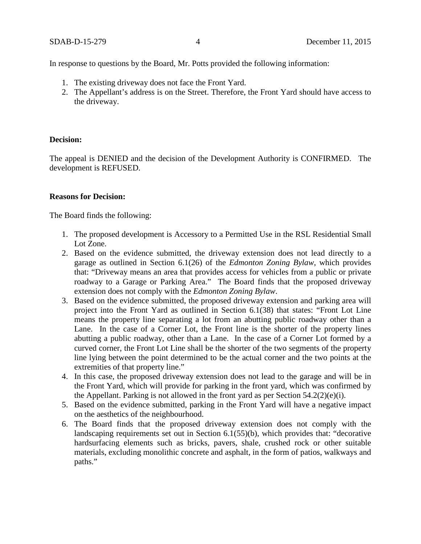In response to questions by the Board, Mr. Potts provided the following information:

- 1. The existing driveway does not face the Front Yard.
- 2. The Appellant's address is on the Street. Therefore, the Front Yard should have access to the driveway.

#### **Decision:**

The appeal is DENIED and the decision of the Development Authority is CONFIRMED. The development is REFUSED.

#### **Reasons for Decision:**

The Board finds the following:

- 1. The proposed development is Accessory to a Permitted Use in the RSL Residential Small Lot Zone.
- 2. Based on the evidence submitted, the driveway extension does not lead directly to a garage as outlined in Section 6.1(26) of the *Edmonton Zoning Bylaw*, which provides that: "Driveway means an area that provides access for vehicles from a public or private roadway to a Garage or Parking Area." The Board finds that the proposed driveway extension does not comply with the *Edmonton Zoning Bylaw*.
- 3. Based on the evidence submitted, the proposed driveway extension and parking area will project into the Front Yard as outlined in Section 6.1(38) that states: "Front Lot Line means the property line separating a lot from an abutting public roadway other than a Lane. In the case of a Corner Lot, the Front line is the shorter of the property lines abutting a public roadway, other than a Lane. In the case of a Corner Lot formed by a curved corner, the Front Lot Line shall be the shorter of the two segments of the property line lying between the point determined to be the actual corner and the two points at the extremities of that property line."
- 4. In this case, the proposed driveway extension does not lead to the garage and will be in the Front Yard, which will provide for parking in the front yard, which was confirmed by the Appellant. Parking is not allowed in the front yard as per Section 54.2(2)(e)(i).
- 5. Based on the evidence submitted, parking in the Front Yard will have a negative impact on the aesthetics of the neighbourhood.
- 6. The Board finds that the proposed driveway extension does not comply with the landscaping requirements set out in Section 6.1(55)(b), which provides that: "decorative hardsurfacing elements such as bricks, pavers, shale, crushed rock or other suitable materials, excluding monolithic concrete and asphalt, in the form of patios, walkways and paths."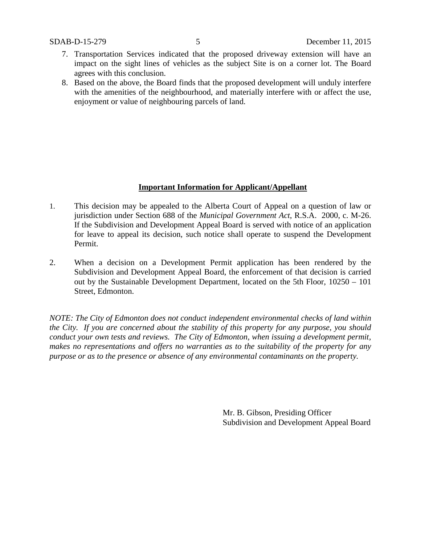- 7. Transportation Services indicated that the proposed driveway extension will have an impact on the sight lines of vehicles as the subject Site is on a corner lot. The Board agrees with this conclusion.
- 8. Based on the above, the Board finds that the proposed development will unduly interfere with the amenities of the neighbourhood, and materially interfere with or affect the use, enjoyment or value of neighbouring parcels of land.

#### **Important Information for Applicant/Appellant**

- 1. This decision may be appealed to the Alberta Court of Appeal on a question of law or jurisdiction under Section 688 of the *Municipal Government Act*, R.S.A. 2000, c. M-26. If the Subdivision and Development Appeal Board is served with notice of an application for leave to appeal its decision, such notice shall operate to suspend the Development Permit.
- 2. When a decision on a Development Permit application has been rendered by the Subdivision and Development Appeal Board, the enforcement of that decision is carried out by the Sustainable Development Department, located on the 5th Floor, 10250 – 101 Street, Edmonton.

*NOTE: The City of Edmonton does not conduct independent environmental checks of land within the City. If you are concerned about the stability of this property for any purpose, you should conduct your own tests and reviews. The City of Edmonton, when issuing a development permit, makes no representations and offers no warranties as to the suitability of the property for any purpose or as to the presence or absence of any environmental contaminants on the property.*

> Mr. B. Gibson, Presiding Officer Subdivision and Development Appeal Board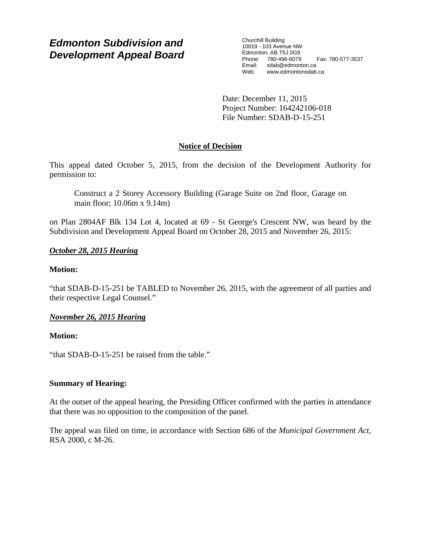# *Edmonton Subdivision and Development Appeal Board*

Churchill Building 10019 - 103 Avenue NW Edmonton, AB T5J 0G9 Phone: 780-496-6079 Fax: 780-577-3537 Email: sdab@edmonton.ca Web: www.edmontonsdab.ca

Date: December 11, 2015 Project Number: 164242106-018 File Number: SDAB-D-15-251

# **Notice of Decision**

This appeal dated October 5, 2015, from the decision of the Development Authority for permission to:

Construct a 2 Storey Accessory Building (Garage Suite on 2nd floor, Garage on main floor; 10.06m x 9.14m)

on Plan 2804AF Blk 134 Lot 4, located at 69 - St George's Crescent NW, was heard by the Subdivision and Development Appeal Board on October 28, 2015 and November 26, 2015:

## *October 28, 2015 Hearing*

### **Motion:**

"that SDAB-D-15-251 be TABLED to November 26, 2015, with the agreement of all parties and their respective Legal Counsel."

## *November 26, 2015 Hearing*

#### **Motion:**

"that SDAB-D-15-251 be raised from the table."

## **Summary of Hearing:**

At the outset of the appeal hearing, the Presiding Officer confirmed with the parties in attendance that there was no opposition to the composition of the panel.

The appeal was filed on time, in accordance with Section 686 of the *Municipal Government Act*, RSA 2000, c M-26.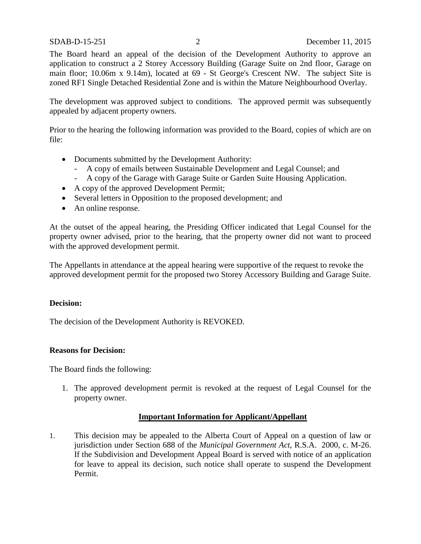The Board heard an appeal of the decision of the Development Authority to approve an application to construct a 2 Storey Accessory Building (Garage Suite on 2nd floor, Garage on main floor; 10.06m x 9.14m), located at 69 - St George's Crescent NW. The subject Site is zoned RF1 Single Detached Residential Zone and is within the Mature Neighbourhood Overlay.

The development was approved subject to conditions. The approved permit was subsequently appealed by adjacent property owners.

Prior to the hearing the following information was provided to the Board, copies of which are on file:

- Documents submitted by the Development Authority:
	- A copy of emails between Sustainable Development and Legal Counsel; and
	- A copy of the Garage with Garage Suite or Garden Suite Housing Application.
- A copy of the approved Development Permit;
- Several letters in Opposition to the proposed development; and
- An online response.

At the outset of the appeal hearing, the Presiding Officer indicated that Legal Counsel for the property owner advised, prior to the hearing, that the property owner did not want to proceed with the approved development permit.

The Appellants in attendance at the appeal hearing were supportive of the request to revoke the approved development permit for the proposed two Storey Accessory Building and Garage Suite.

#### **Decision:**

The decision of the Development Authority is REVOKED.

#### **Reasons for Decision:**

The Board finds the following:

1. The approved development permit is revoked at the request of Legal Counsel for the property owner.

#### **Important Information for Applicant/Appellant**

1. This decision may be appealed to the Alberta Court of Appeal on a question of law or jurisdiction under Section 688 of the *Municipal Government Act*, R.S.A. 2000, c. M-26. If the Subdivision and Development Appeal Board is served with notice of an application for leave to appeal its decision, such notice shall operate to suspend the Development Permit.